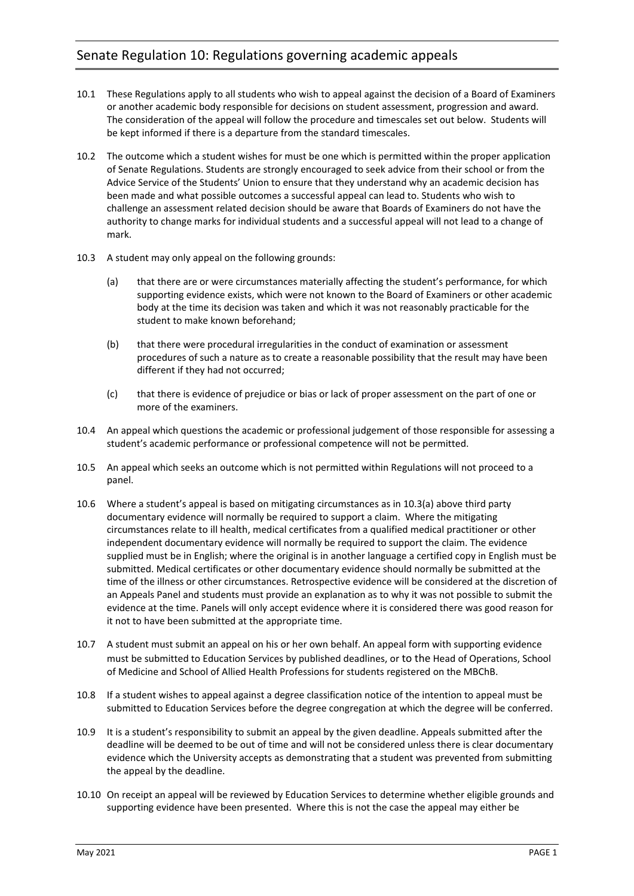- 10.1 These Regulations apply to all students who wish to appeal against the decision of a Board of Examiners or another academic body responsible for decisions on student assessment, progression and award. The consideration of the appeal will follow the procedure and timescales set out below. Students will be kept informed if there is a departure from the standard timescales.
- 10.2 The outcome which a student wishes for must be one which is permitted within the proper application of Senate Regulations. Students are strongly encouraged to seek advice from their school or from the Advice Service of the Students' Union to ensure that they understand why an academic decision has been made and what possible outcomes a successful appeal can lead to. Students who wish to challenge an assessment related decision should be aware that Boards of Examiners do not have the authority to change marks for individual students and a successful appeal will not lead to a change of mark.
- <span id="page-0-0"></span>10.3 A student may only appeal on the following grounds:
	- (a) that there are or were circumstances materially affecting the student's performance, for which supporting evidence exists, which were not known to the Board of Examiners or other academic body at the time its decision was taken and which it was not reasonably practicable for the student to make known beforehand;
	- (b) that there were procedural irregularities in the conduct of examination or assessment procedures of such a nature as to create a reasonable possibility that the result may have been different if they had not occurred;
	- (c) that there is evidence of prejudice or bias or lack of proper assessment on the part of one or more of the examiners.
- 10.4 An appeal which questions the academic or professional judgement of those responsible for assessing a student's academic performance or professional competence will not be permitted.
- 10.5 An appeal which seeks an outcome which is not permitted within Regulations will not proceed to a panel.
- 10.6 Where a student's appeal is based on mitigating circumstances as in [10.3\(a\)](#page-0-0) above third party documentary evidence will normally be required to support a claim. Where the mitigating circumstances relate to ill health, medical certificates from a qualified medical practitioner or other independent documentary evidence will normally be required to support the claim. The evidence supplied must be in English; where the original is in another language a certified copy in English must be submitted. Medical certificates or other documentary evidence should normally be submitted at the time of the illness or other circumstances. Retrospective evidence will be considered at the discretion of an Appeals Panel and students must provide an explanation as to why it was not possible to submit the evidence at the time. Panels will only accept evidence where it is considered there was good reason for it not to have been submitted at the appropriate time.
- 10.7 A student must submit an appeal on his or her own behalf. An appeal form with supporting evidence must be submitted to Education Services by published deadlines, or to the Head of Operations, School of Medicine and School of Allied Health Professions for students registered on the MBChB.
- 10.8 If a student wishes to appeal against a degree classification notice of the intention to appeal must be submitted to Education Services before the degree congregation at which the degree will be conferred.
- 10.9 It is a student's responsibility to submit an appeal by the given deadline. Appeals submitted after the deadline will be deemed to be out of time and will not be considered unless there is clear documentary evidence which the University accepts as demonstrating that a student was prevented from submitting the appeal by the deadline.
- 10.10 On receipt an appeal will be reviewed by Education Services to determine whether eligible grounds and supporting evidence have been presented. Where this is not the case the appeal may either be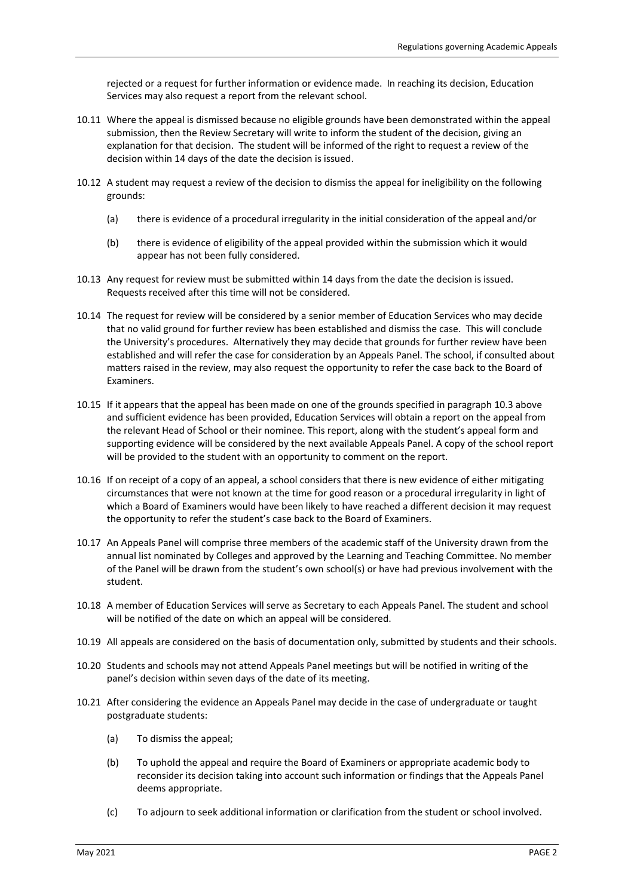rejected or a request for further information or evidence made. In reaching its decision, Education Services may also request a report from the relevant school.

- 10.11 Where the appeal is dismissed because no eligible grounds have been demonstrated within the appeal submission, then the Review Secretary will write to inform the student of the decision, giving an explanation for that decision. The student will be informed of the right to request a review of the decision within 14 days of the date the decision is issued.
- 10.12 A student may request a review of the decision to dismiss the appeal for ineligibility on the following grounds:
	- (a) there is evidence of a procedural irregularity in the initial consideration of the appeal and/or
	- (b) there is evidence of eligibility of the appeal provided within the submission which it would appear has not been fully considered.
- 10.13 Any request for review must be submitted within 14 days from the date the decision is issued. Requests received after this time will not be considered.
- 10.14 The request for review will be considered by a senior member of Education Services who may decide that no valid ground for further review has been established and dismiss the case. This will conclude the University's procedures. Alternatively they may decide that grounds for further review have been established and will refer the case for consideration by an Appeals Panel. The school, if consulted about matters raised in the review, may also request the opportunity to refer the case back to the Board of Examiners.
- 10.15 If it appears that the appeal has been made on one of the grounds specified in paragrap[h 10.3 above](#page-0-0) and sufficient evidence has been provided, Education Services will obtain a report on the appeal from the relevant Head of School or their nominee. This report, along with the student's appeal form and supporting evidence will be considered by the next available Appeals Panel. A copy of the school report will be provided to the student with an opportunity to comment on the report.
- 10.16 If on receipt of a copy of an appeal, a school considers that there is new evidence of either mitigating circumstances that were not known at the time for good reason or a procedural irregularity in light of which a Board of Examiners would have been likely to have reached a different decision it may request the opportunity to refer the student's case back to the Board of Examiners.
- 10.17 An Appeals Panel will comprise three members of the academic staff of the University drawn from the annual list nominated by Colleges and approved by the Learning and Teaching Committee. No member of the Panel will be drawn from the student's own school(s) or have had previous involvement with the student.
- 10.18 A member of Education Services will serve as Secretary to each Appeals Panel. The student and school will be notified of the date on which an appeal will be considered.
- 10.19 All appeals are considered on the basis of documentation only, submitted by students and their schools.
- 10.20 Students and schools may not attend Appeals Panel meetings but will be notified in writing of the panel's decision within seven days of the date of its meeting.
- 10.21 After considering the evidence an Appeals Panel may decide in the case of undergraduate or taught postgraduate students:
	- (a) To dismiss the appeal;
	- (b) To uphold the appeal and require the Board of Examiners or appropriate academic body to reconsider its decision taking into account such information or findings that the Appeals Panel deems appropriate.
	- (c) To adjourn to seek additional information or clarification from the student or school involved.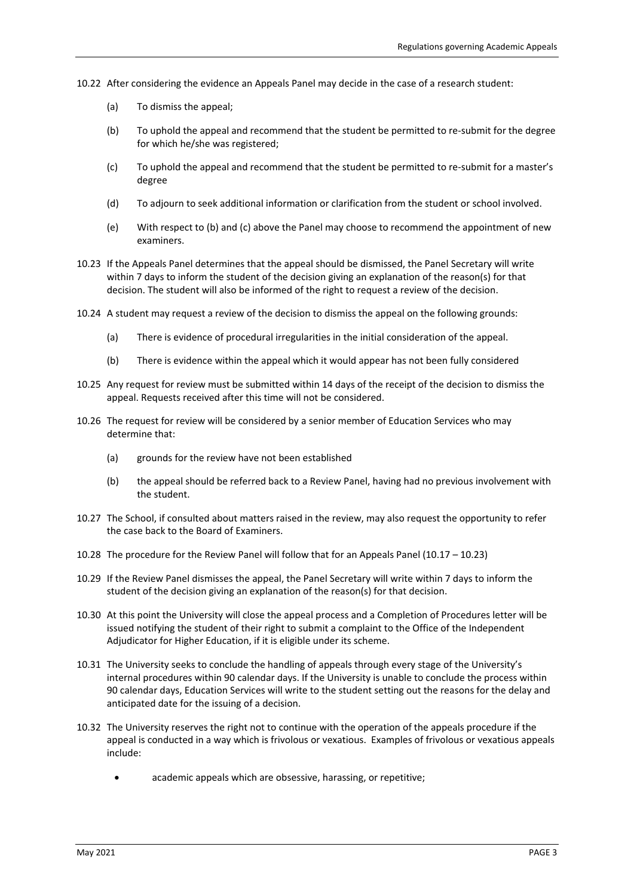- 10.22 After considering the evidence an Appeals Panel may decide in the case of a research student:
	- (a) To dismiss the appeal;
	- (b) To uphold the appeal and recommend that the student be permitted to re-submit for the degree for which he/she was registered;
	- (c) To uphold the appeal and recommend that the student be permitted to re-submit for a master's degree
	- (d) To adjourn to seek additional information or clarification from the student or school involved.
	- (e) With respect to (b) and (c) above the Panel may choose to recommend the appointment of new examiners.
- 10.23 If the Appeals Panel determines that the appeal should be dismissed, the Panel Secretary will write within 7 days to inform the student of the decision giving an explanation of the reason(s) for that decision. The student will also be informed of the right to request a review of the decision.
- 10.24 A student may request a review of the decision to dismiss the appeal on the following grounds:
	- (a) There is evidence of procedural irregularities in the initial consideration of the appeal.
	- (b) There is evidence within the appeal which it would appear has not been fully considered
- 10.25 Any request for review must be submitted within 14 days of the receipt of the decision to dismiss the appeal. Requests received after this time will not be considered.
- 10.26 The request for review will be considered by a senior member of Education Services who may determine that:
	- (a) grounds for the review have not been established
	- (b) the appeal should be referred back to a Review Panel, having had no previous involvement with the student.
- 10.27 The School, if consulted about matters raised in the review, may also request the opportunity to refer the case back to the Board of Examiners.
- 10.28 The procedure for the Review Panel will follow that for an Appeals Panel (10.17 10.23)
- 10.29 If the Review Panel dismisses the appeal, the Panel Secretary will write within 7 days to inform the student of the decision giving an explanation of the reason(s) for that decision.
- 10.30 At this point the University will close the appeal process and a Completion of Procedures letter will be issued notifying the student of their right to submit a complaint to the Office of the Independent Adjudicator for Higher Education, if it is eligible under its scheme.
- 10.31 The University seeks to conclude the handling of appeals through every stage of the University's internal procedures within 90 calendar days. If the University is unable to conclude the process within 90 calendar days, Education Services will write to the student setting out the reasons for the delay and anticipated date for the issuing of a decision.
- 10.32 The University reserves the right not to continue with the operation of the appeals procedure if the appeal is conducted in a way which is frivolous or vexatious. Examples of frivolous or vexatious appeals include:
	- academic appeals which are obsessive, harassing, or repetitive;